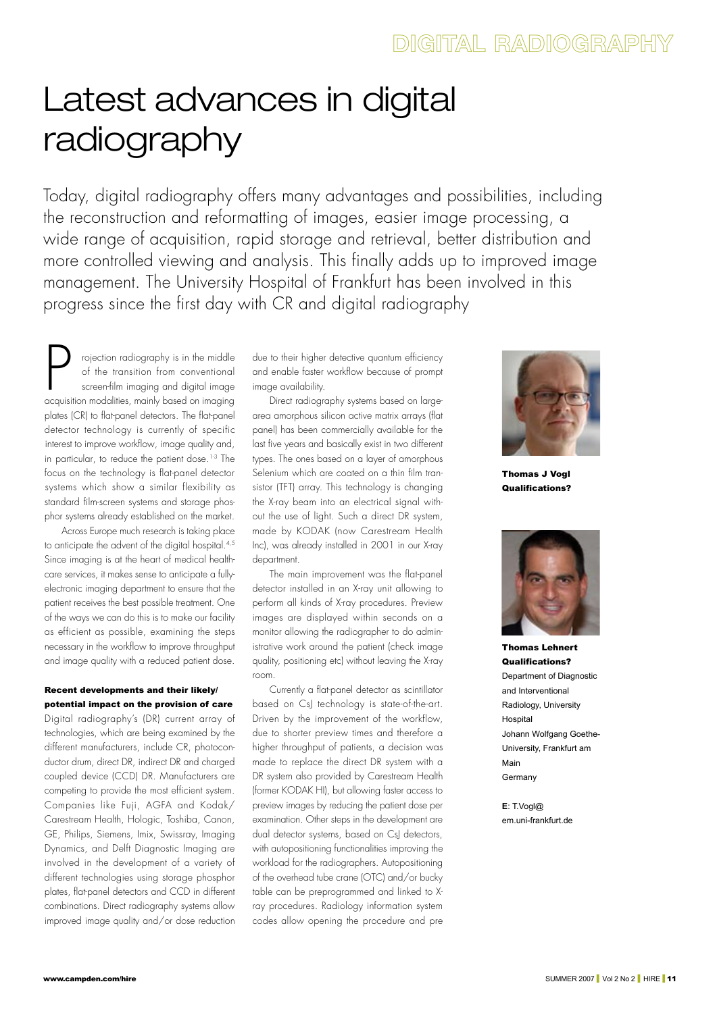# Latest advances in digital radiography

Today, digital radiography offers many advantages and possibilities, including the reconstruction and reformatting of images, easier image processing, a wide range of acquisition, rapid storage and retrieval, better distribution and more controlled viewing and analysis. This finally adds up to improved image management. The University Hospital of Frankfurt has been involved in this progress since the first day with CR and digital radiography

projection radiography is in the middle<br>of the transition from conventional<br>screen-film imaging and digital image<br>acausition modalities, mainly based on imaging of the transition from conventional screen-film imaging and digital image acquisition modalities, mainly based on imagingplates (CR) to flat-panel detectors. The flat-panel detector technology is currently of specific interest to improve workflow, image quality and, in particular, to reduce the patient dose.<sup>1-3</sup> The focus on the technology is flat-panel detectorsystems which show a similar flexibility as standard film-screen systems and storage phosphor systems already established on the market.

Across Europe much research is taking place to anticipate the advent of the digital hospital.4,5 Since imaging is at the heart of medical healthcare services, it makes sense to anticipate a fullyelectronic imaging department to ensure that the patient receives the best possible treatment. One of the ways we can do this is to make our facility as efficient as possible, examining the steps necessary in the workflow to improve throughput and image quality with a reduced patient dose.

# Recent developments and their likely/ potential impact on the provision of care

Digital radiography's (DR) current array of technologies, which are being examined by the different manufacturers, include CR, photoconductor drum, direct DR, indirect DR and charged coupled device (CCD) DR. Manufacturers are competing to provide the most efficient system. Companies like Fuji, AGFA and Kodak/ Carestream Health, Hologic, Toshiba, Canon, GE, Philips, Siemens, Imix, Swissray, Imaging Dynamics, and Delft Diagnostic Imaging are involved in the development of a variety of different technologies using storage phosphor plates, flat-panel detectors and CCD in different combinations. Direct radiography systems allow improved image quality and/or dose reduction due to their higher detective quantum efficiency and enable faster workflow because of prompt image availability.

Direct radiography systems based on largearea amorphous silicon active matrix arrays (flat panel) has been commercially available for the last five years and basically exist in two different types. The ones based on a layer of amorphous Selenium which are coated on a thin film transistor (TFT) array. This technology is changing the X-ray beam into an electrical signal without the use of light. Such a direct DR system, made by KODAK (now Carestream Health Inc), was already installed in 2001 in our X-ray department.

The main improvement was the flat-panel detector installed in an X-ray unit allowing to perform all kinds of X-ray procedures. Preview images are displayed within seconds on a monitor allowing the radiographer to do administrative work around the patient (check image quality, positioning etc) without leaving the X-ray room.

Currently a flat-panel detector as scintillatorbased on CsJ technology is state-of-the-art. Driven by the improvement of the workflow, due to shorter preview times and therefore a higher throughput of patients, a decision was made to replace the direct DR system with a DR system also provided by Carestream Health (former KODAK HI), but allowing faster access to preview images by reducing the patient dose per examination. Other steps in the development are dual detector systems, based on CsJ detectors, with autopositioning functionalities improving the workload for the radiographers. Autopositioning of the overhead tube crane (OTC) and/or bucky table can be preprogrammed and linked to Xray procedures. Radiology information system codes allow opening the procedure and pre



Thomas J Vogl Qualifications?



Thomas Lehnert Qualifications? Department of Diagnostic and Interventional Radiology, University **Hospital** Johann Wolfgang Goethe-University, Frankfurt am Main Germany

**E**: T.Vogl@ em.uni-frankfurt.de